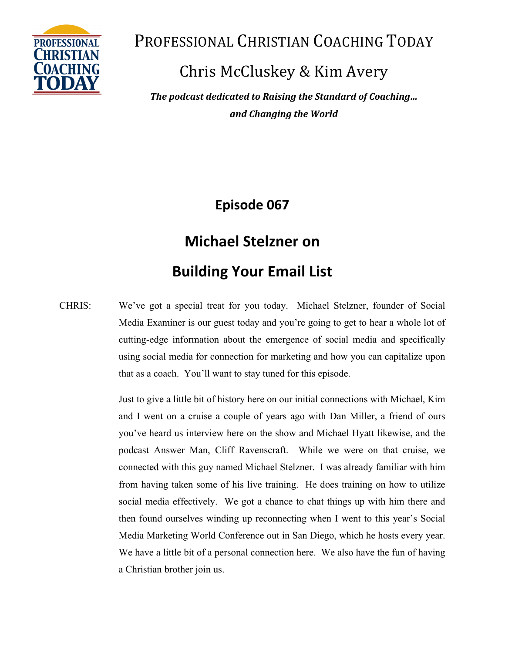

Chris McCluskey & Kim Avery

*The podcast dedicated to Raising the Standard of Coaching... and Changing the World*

**Episode 067**

# **Michael Stelzner on**

## **Building Your Email List**

CHRIS: We've got a special treat for you today. Michael Stelzner, founder of Social Media Examiner is our guest today and you're going to get to hear a whole lot of cutting-edge information about the emergence of social media and specifically using social media for connection for marketing and how you can capitalize upon that as a coach. You'll want to stay tuned for this episode.

> Just to give a little bit of history here on our initial connections with Michael, Kim and I went on a cruise a couple of years ago with Dan Miller, a friend of ours you've heard us interview here on the show and Michael Hyatt likewise, and the podcast Answer Man, Cliff Ravenscraft. While we were on that cruise, we connected with this guy named Michael Stelzner. I was already familiar with him from having taken some of his live training. He does training on how to utilize social media effectively. We got a chance to chat things up with him there and then found ourselves winding up reconnecting when I went to this year's Social Media Marketing World Conference out in San Diego, which he hosts every year. We have a little bit of a personal connection here. We also have the fun of having a Christian brother join us.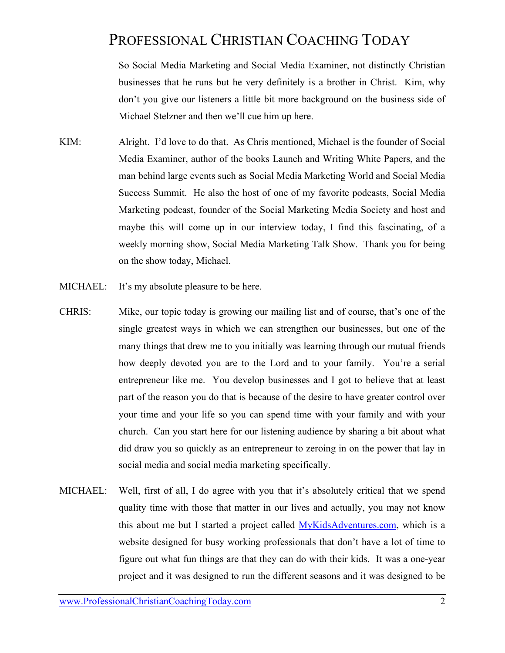So Social Media Marketing and Social Media Examiner, not distinctly Christian businesses that he runs but he very definitely is a brother in Christ. Kim, why don't you give our listeners a little bit more background on the business side of Michael Stelzner and then we'll cue him up here.

- KIM: Alright. I'd love to do that. As Chris mentioned, Michael is the founder of Social Media Examiner, author of the books Launch and Writing White Papers, and the man behind large events such as Social Media Marketing World and Social Media Success Summit. He also the host of one of my favorite podcasts, Social Media Marketing podcast, founder of the Social Marketing Media Society and host and maybe this will come up in our interview today, I find this fascinating, of a weekly morning show, Social Media Marketing Talk Show. Thank you for being on the show today, Michael.
- MICHAEL: It's my absolute pleasure to be here.
- CHRIS: Mike, our topic today is growing our mailing list and of course, that's one of the single greatest ways in which we can strengthen our businesses, but one of the many things that drew me to you initially was learning through our mutual friends how deeply devoted you are to the Lord and to your family. You're a serial entrepreneur like me. You develop businesses and I got to believe that at least part of the reason you do that is because of the desire to have greater control over your time and your life so you can spend time with your family and with your church. Can you start here for our listening audience by sharing a bit about what did draw you so quickly as an entrepreneur to zeroing in on the power that lay in social media and social media marketing specifically.
- MICHAEL: Well, first of all, I do agree with you that it's absolutely critical that we spend quality time with those that matter in our lives and actually, you may not know this about me but I started a project called MyKidsAdventures.com, which is a website designed for busy working professionals that don't have a lot of time to figure out what fun things are that they can do with their kids. It was a one-year project and it was designed to run the different seasons and it was designed to be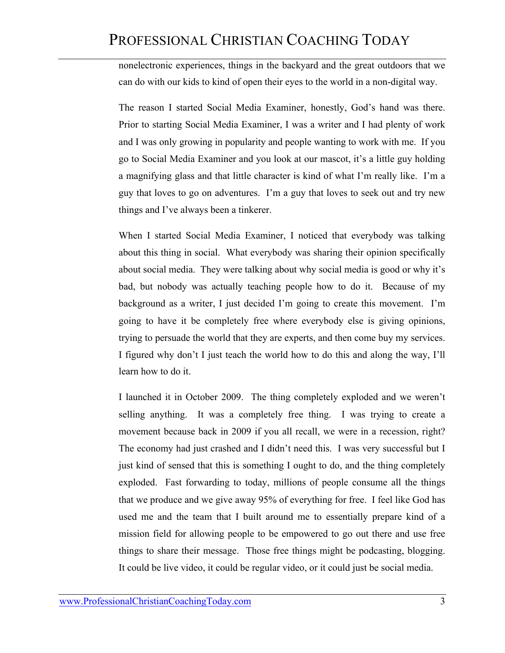nonelectronic experiences, things in the backyard and the great outdoors that we can do with our kids to kind of open their eyes to the world in a non-digital way.

The reason I started Social Media Examiner, honestly, God's hand was there. Prior to starting Social Media Examiner, I was a writer and I had plenty of work and I was only growing in popularity and people wanting to work with me. If you go to Social Media Examiner and you look at our mascot, it's a little guy holding a magnifying glass and that little character is kind of what I'm really like. I'm a guy that loves to go on adventures. I'm a guy that loves to seek out and try new things and I've always been a tinkerer.

When I started Social Media Examiner, I noticed that everybody was talking about this thing in social. What everybody was sharing their opinion specifically about social media. They were talking about why social media is good or why it's bad, but nobody was actually teaching people how to do it. Because of my background as a writer, I just decided I'm going to create this movement. I'm going to have it be completely free where everybody else is giving opinions, trying to persuade the world that they are experts, and then come buy my services. I figured why don't I just teach the world how to do this and along the way, I'll learn how to do it.

I launched it in October 2009. The thing completely exploded and we weren't selling anything. It was a completely free thing. I was trying to create a movement because back in 2009 if you all recall, we were in a recession, right? The economy had just crashed and I didn't need this. I was very successful but I just kind of sensed that this is something I ought to do, and the thing completely exploded. Fast forwarding to today, millions of people consume all the things that we produce and we give away 95% of everything for free. I feel like God has used me and the team that I built around me to essentially prepare kind of a mission field for allowing people to be empowered to go out there and use free things to share their message. Those free things might be podcasting, blogging. It could be live video, it could be regular video, or it could just be social media.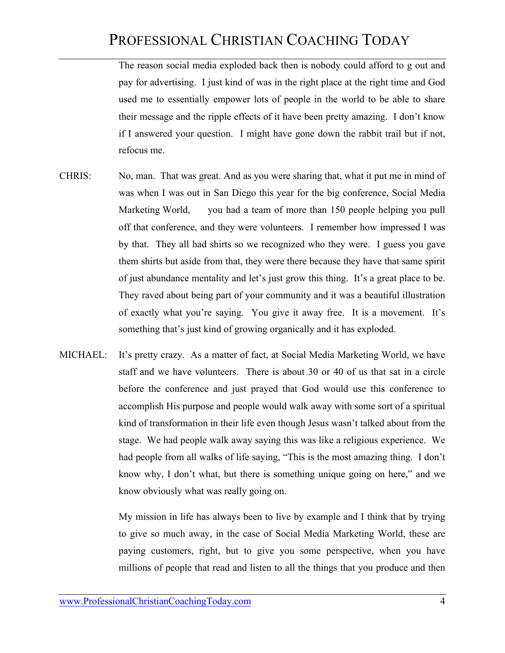The reason social media exploded back then is nobody could afford to g out and pay for advertising. I just kind of was in the right place at the right time and God used me to essentially empower lots of people in the world to be able to share their message and the ripple effects of it have been pretty amazing. I don't know if I answered your question. I might have gone down the rabbit trail but if not, refocus me.

- CHRIS: No, man. That was great. And as you were sharing that, what it put me in mind of was when I was out in San Diego this year for the big conference, Social Media Marketing World, you had a team of more than 150 people helping you pull off that conference, and they were volunteers. I remember how impressed I was by that. They all had shirts so we recognized who they were. I guess you gave them shirts but aside from that, they were there because they have that same spirit of just abundance mentality and let's just grow this thing. It's a great place to be. They raved about being part of your community and it was a beautiful illustration of exactly what you're saying. You give it away free. It is a movement. It's something that's just kind of growing organically and it has exploded.
- MICHAEL: It's pretty crazy. As a matter of fact, at Social Media Marketing World, we have staff and we have volunteers. There is about 30 or 40 of us that sat in a circle before the conference and just prayed that God would use this conference to accomplish His purpose and people would walk away with some sort of a spiritual kind of transformation in their life even though Jesus wasn't talked about from the stage. We had people walk away saying this was like a religious experience. We had people from all walks of life saying, "This is the most amazing thing. I don't know why, I don't what, but there is something unique going on here," and we know obviously what was really going on.

My mission in life has always been to live by example and I think that by trying to give so much away, in the case of Social Media Marketing World, these are paying customers, right, but to give you some perspective, when you have millions of people that read and listen to all the things that you produce and then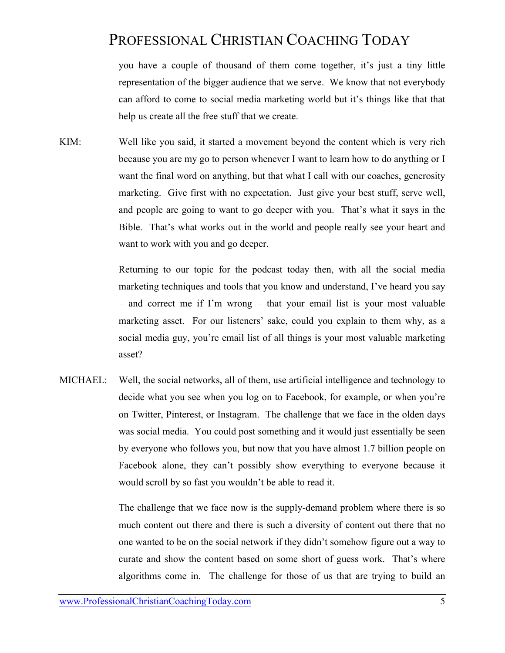you have a couple of thousand of them come together, it's just a tiny little representation of the bigger audience that we serve. We know that not everybody can afford to come to social media marketing world but it's things like that that help us create all the free stuff that we create.

KIM: Well like you said, it started a movement beyond the content which is very rich because you are my go to person whenever I want to learn how to do anything or I want the final word on anything, but that what I call with our coaches, generosity marketing. Give first with no expectation. Just give your best stuff, serve well, and people are going to want to go deeper with you. That's what it says in the Bible. That's what works out in the world and people really see your heart and want to work with you and go deeper.

> Returning to our topic for the podcast today then, with all the social media marketing techniques and tools that you know and understand, I've heard you say – and correct me if I'm wrong – that your email list is your most valuable marketing asset. For our listeners' sake, could you explain to them why, as a social media guy, you're email list of all things is your most valuable marketing asset?

MICHAEL: Well, the social networks, all of them, use artificial intelligence and technology to decide what you see when you log on to Facebook, for example, or when you're on Twitter, Pinterest, or Instagram. The challenge that we face in the olden days was social media. You could post something and it would just essentially be seen by everyone who follows you, but now that you have almost 1.7 billion people on Facebook alone, they can't possibly show everything to everyone because it would scroll by so fast you wouldn't be able to read it.

> The challenge that we face now is the supply-demand problem where there is so much content out there and there is such a diversity of content out there that no one wanted to be on the social network if they didn't somehow figure out a way to curate and show the content based on some short of guess work. That's where algorithms come in. The challenge for those of us that are trying to build an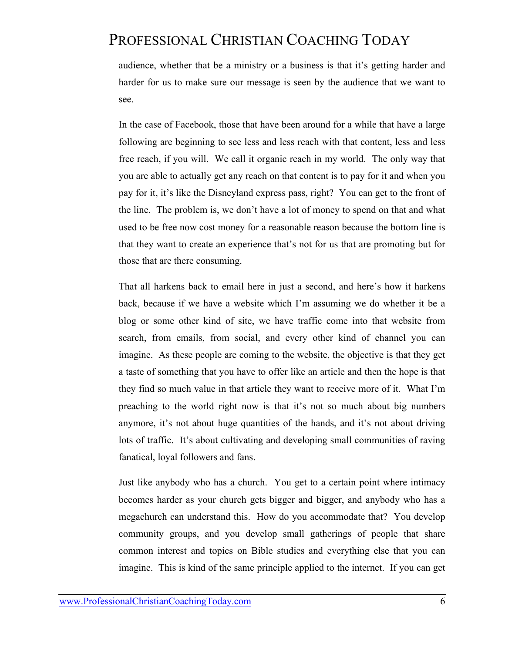audience, whether that be a ministry or a business is that it's getting harder and harder for us to make sure our message is seen by the audience that we want to see.

In the case of Facebook, those that have been around for a while that have a large following are beginning to see less and less reach with that content, less and less free reach, if you will. We call it organic reach in my world. The only way that you are able to actually get any reach on that content is to pay for it and when you pay for it, it's like the Disneyland express pass, right? You can get to the front of the line. The problem is, we don't have a lot of money to spend on that and what used to be free now cost money for a reasonable reason because the bottom line is that they want to create an experience that's not for us that are promoting but for those that are there consuming.

That all harkens back to email here in just a second, and here's how it harkens back, because if we have a website which I'm assuming we do whether it be a blog or some other kind of site, we have traffic come into that website from search, from emails, from social, and every other kind of channel you can imagine. As these people are coming to the website, the objective is that they get a taste of something that you have to offer like an article and then the hope is that they find so much value in that article they want to receive more of it. What I'm preaching to the world right now is that it's not so much about big numbers anymore, it's not about huge quantities of the hands, and it's not about driving lots of traffic. It's about cultivating and developing small communities of raving fanatical, loyal followers and fans.

Just like anybody who has a church. You get to a certain point where intimacy becomes harder as your church gets bigger and bigger, and anybody who has a megachurch can understand this. How do you accommodate that? You develop community groups, and you develop small gatherings of people that share common interest and topics on Bible studies and everything else that you can imagine. This is kind of the same principle applied to the internet. If you can get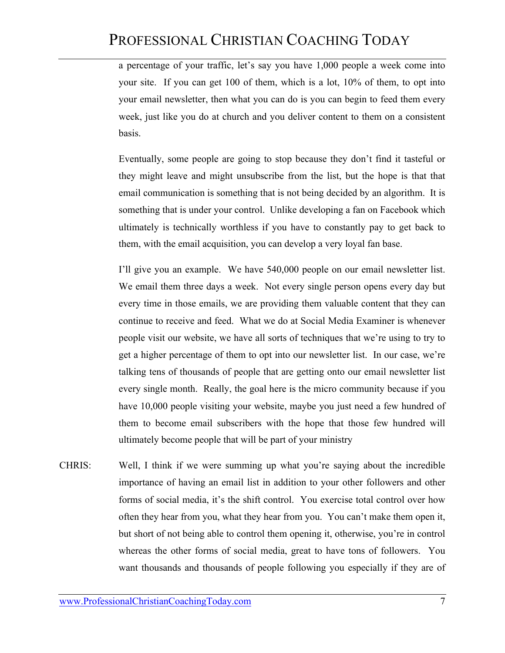a percentage of your traffic, let's say you have 1,000 people a week come into your site. If you can get 100 of them, which is a lot, 10% of them, to opt into your email newsletter, then what you can do is you can begin to feed them every week, just like you do at church and you deliver content to them on a consistent basis.

Eventually, some people are going to stop because they don't find it tasteful or they might leave and might unsubscribe from the list, but the hope is that that email communication is something that is not being decided by an algorithm. It is something that is under your control. Unlike developing a fan on Facebook which ultimately is technically worthless if you have to constantly pay to get back to them, with the email acquisition, you can develop a very loyal fan base.

I'll give you an example. We have 540,000 people on our email newsletter list. We email them three days a week. Not every single person opens every day but every time in those emails, we are providing them valuable content that they can continue to receive and feed. What we do at Social Media Examiner is whenever people visit our website, we have all sorts of techniques that we're using to try to get a higher percentage of them to opt into our newsletter list. In our case, we're talking tens of thousands of people that are getting onto our email newsletter list every single month. Really, the goal here is the micro community because if you have 10,000 people visiting your website, maybe you just need a few hundred of them to become email subscribers with the hope that those few hundred will ultimately become people that will be part of your ministry

CHRIS: Well, I think if we were summing up what you're saying about the incredible importance of having an email list in addition to your other followers and other forms of social media, it's the shift control. You exercise total control over how often they hear from you, what they hear from you. You can't make them open it, but short of not being able to control them opening it, otherwise, you're in control whereas the other forms of social media, great to have tons of followers. You want thousands and thousands of people following you especially if they are of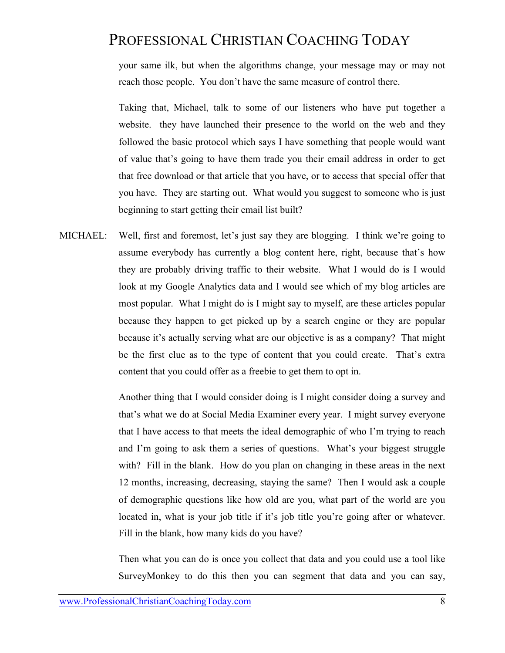your same ilk, but when the algorithms change, your message may or may not reach those people. You don't have the same measure of control there.

Taking that, Michael, talk to some of our listeners who have put together a website. they have launched their presence to the world on the web and they followed the basic protocol which says I have something that people would want of value that's going to have them trade you their email address in order to get that free download or that article that you have, or to access that special offer that you have. They are starting out. What would you suggest to someone who is just beginning to start getting their email list built?

MICHAEL: Well, first and foremost, let's just say they are blogging. I think we're going to assume everybody has currently a blog content here, right, because that's how they are probably driving traffic to their website. What I would do is I would look at my Google Analytics data and I would see which of my blog articles are most popular. What I might do is I might say to myself, are these articles popular because they happen to get picked up by a search engine or they are popular because it's actually serving what are our objective is as a company? That might be the first clue as to the type of content that you could create. That's extra content that you could offer as a freebie to get them to opt in.

> Another thing that I would consider doing is I might consider doing a survey and that's what we do at Social Media Examiner every year. I might survey everyone that I have access to that meets the ideal demographic of who I'm trying to reach and I'm going to ask them a series of questions. What's your biggest struggle with? Fill in the blank. How do you plan on changing in these areas in the next 12 months, increasing, decreasing, staying the same? Then I would ask a couple of demographic questions like how old are you, what part of the world are you located in, what is your job title if it's job title you're going after or whatever. Fill in the blank, how many kids do you have?

> Then what you can do is once you collect that data and you could use a tool like SurveyMonkey to do this then you can segment that data and you can say,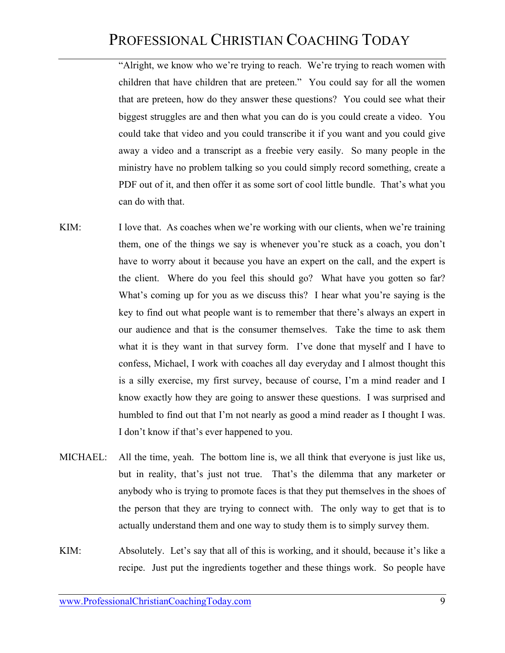"Alright, we know who we're trying to reach. We're trying to reach women with children that have children that are preteen." You could say for all the women that are preteen, how do they answer these questions? You could see what their biggest struggles are and then what you can do is you could create a video. You could take that video and you could transcribe it if you want and you could give away a video and a transcript as a freebie very easily. So many people in the ministry have no problem talking so you could simply record something, create a PDF out of it, and then offer it as some sort of cool little bundle. That's what you can do with that.

- KIM: I love that. As coaches when we're working with our clients, when we're training them, one of the things we say is whenever you're stuck as a coach, you don't have to worry about it because you have an expert on the call, and the expert is the client. Where do you feel this should go? What have you gotten so far? What's coming up for you as we discuss this? I hear what you're saying is the key to find out what people want is to remember that there's always an expert in our audience and that is the consumer themselves. Take the time to ask them what it is they want in that survey form. I've done that myself and I have to confess, Michael, I work with coaches all day everyday and I almost thought this is a silly exercise, my first survey, because of course, I'm a mind reader and I know exactly how they are going to answer these questions. I was surprised and humbled to find out that I'm not nearly as good a mind reader as I thought I was. I don't know if that's ever happened to you.
- MICHAEL: All the time, yeah. The bottom line is, we all think that everyone is just like us, but in reality, that's just not true. That's the dilemma that any marketer or anybody who is trying to promote faces is that they put themselves in the shoes of the person that they are trying to connect with. The only way to get that is to actually understand them and one way to study them is to simply survey them.
- KIM: Absolutely. Let's say that all of this is working, and it should, because it's like a recipe. Just put the ingredients together and these things work. So people have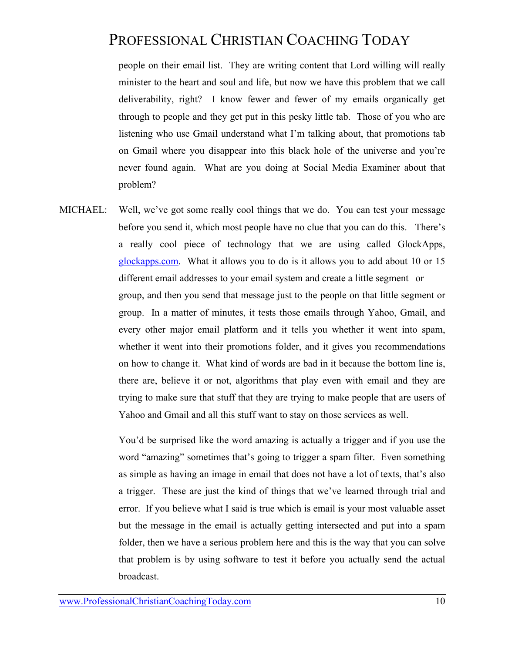people on their email list. They are writing content that Lord willing will really minister to the heart and soul and life, but now we have this problem that we call deliverability, right? I know fewer and fewer of my emails organically get through to people and they get put in this pesky little tab. Those of you who are listening who use Gmail understand what I'm talking about, that promotions tab on Gmail where you disappear into this black hole of the universe and you're never found again. What are you doing at Social Media Examiner about that problem?

MICHAEL: Well, we've got some really cool things that we do. You can test your message before you send it, which most people have no clue that you can do this. There's a really cool piece of technology that we are using called GlockApps, glockapps.com. What it allows you to do is it allows you to add about 10 or 15 different email addresses to your email system and create a little segment or group, and then you send that message just to the people on that little segment or group. In a matter of minutes, it tests those emails through Yahoo, Gmail, and every other major email platform and it tells you whether it went into spam, whether it went into their promotions folder, and it gives you recommendations on how to change it. What kind of words are bad in it because the bottom line is, there are, believe it or not, algorithms that play even with email and they are trying to make sure that stuff that they are trying to make people that are users of Yahoo and Gmail and all this stuff want to stay on those services as well.

> You'd be surprised like the word amazing is actually a trigger and if you use the word "amazing" sometimes that's going to trigger a spam filter. Even something as simple as having an image in email that does not have a lot of texts, that's also a trigger. These are just the kind of things that we've learned through trial and error. If you believe what I said is true which is email is your most valuable asset but the message in the email is actually getting intersected and put into a spam folder, then we have a serious problem here and this is the way that you can solve that problem is by using software to test it before you actually send the actual broadcast.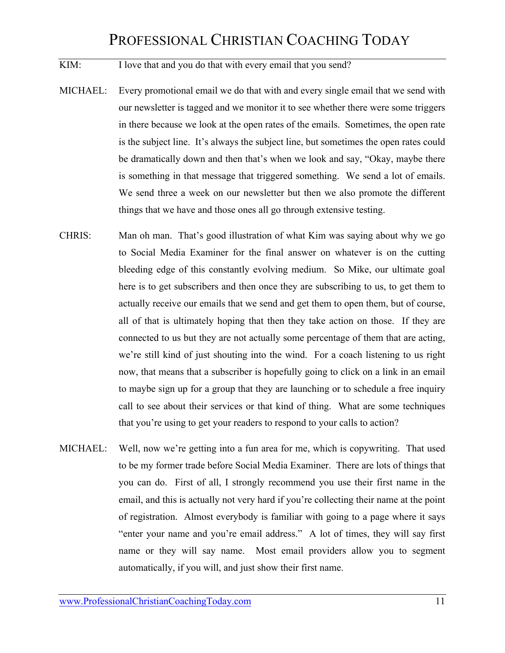KIM: I love that and you do that with every email that you send?

- MICHAEL: Every promotional email we do that with and every single email that we send with our newsletter is tagged and we monitor it to see whether there were some triggers in there because we look at the open rates of the emails. Sometimes, the open rate is the subject line. It's always the subject line, but sometimes the open rates could be dramatically down and then that's when we look and say, "Okay, maybe there is something in that message that triggered something. We send a lot of emails. We send three a week on our newsletter but then we also promote the different things that we have and those ones all go through extensive testing.
- CHRIS: Man oh man. That's good illustration of what Kim was saying about why we go to Social Media Examiner for the final answer on whatever is on the cutting bleeding edge of this constantly evolving medium. So Mike, our ultimate goal here is to get subscribers and then once they are subscribing to us, to get them to actually receive our emails that we send and get them to open them, but of course, all of that is ultimately hoping that then they take action on those. If they are connected to us but they are not actually some percentage of them that are acting, we're still kind of just shouting into the wind. For a coach listening to us right now, that means that a subscriber is hopefully going to click on a link in an email to maybe sign up for a group that they are launching or to schedule a free inquiry call to see about their services or that kind of thing. What are some techniques that you're using to get your readers to respond to your calls to action?
- MICHAEL: Well, now we're getting into a fun area for me, which is copywriting. That used to be my former trade before Social Media Examiner. There are lots of things that you can do. First of all, I strongly recommend you use their first name in the email, and this is actually not very hard if you're collecting their name at the point of registration. Almost everybody is familiar with going to a page where it says "enter your name and you're email address." A lot of times, they will say first name or they will say name. Most email providers allow you to segment automatically, if you will, and just show their first name.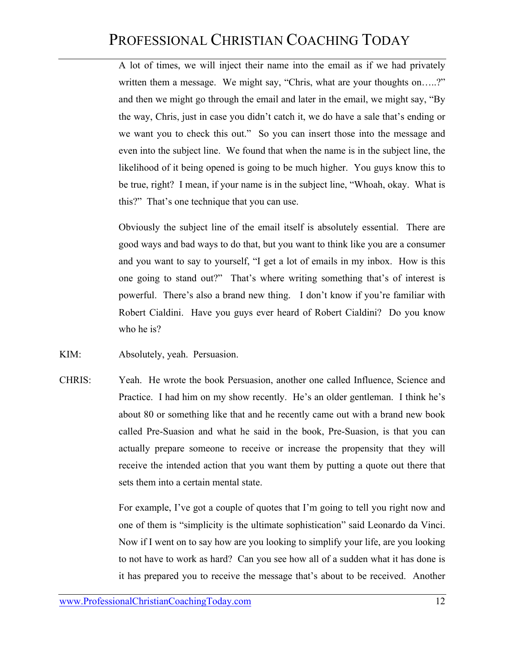A lot of times, we will inject their name into the email as if we had privately written them a message. We might say, "Chris, what are your thoughts on.....?" and then we might go through the email and later in the email, we might say, "By the way, Chris, just in case you didn't catch it, we do have a sale that's ending or we want you to check this out." So you can insert those into the message and even into the subject line. We found that when the name is in the subject line, the likelihood of it being opened is going to be much higher. You guys know this to be true, right? I mean, if your name is in the subject line, "Whoah, okay. What is this?" That's one technique that you can use.

Obviously the subject line of the email itself is absolutely essential. There are good ways and bad ways to do that, but you want to think like you are a consumer and you want to say to yourself, "I get a lot of emails in my inbox. How is this one going to stand out?" That's where writing something that's of interest is powerful. There's also a brand new thing. I don't know if you're familiar with Robert Cialdini. Have you guys ever heard of Robert Cialdini? Do you know who he is?

- KIM: Absolutely, yeah. Persuasion.
- CHRIS: Yeah. He wrote the book Persuasion, another one called Influence, Science and Practice. I had him on my show recently. He's an older gentleman. I think he's about 80 or something like that and he recently came out with a brand new book called Pre-Suasion and what he said in the book, Pre-Suasion, is that you can actually prepare someone to receive or increase the propensity that they will receive the intended action that you want them by putting a quote out there that sets them into a certain mental state.

For example, I've got a couple of quotes that I'm going to tell you right now and one of them is "simplicity is the ultimate sophistication" said Leonardo da Vinci. Now if I went on to say how are you looking to simplify your life, are you looking to not have to work as hard? Can you see how all of a sudden what it has done is it has prepared you to receive the message that's about to be received. Another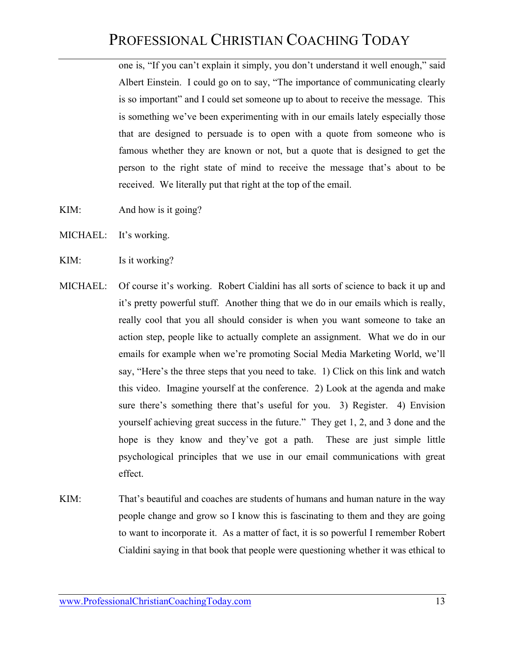one is, "If you can't explain it simply, you don't understand it well enough," said Albert Einstein. I could go on to say, "The importance of communicating clearly is so important" and I could set someone up to about to receive the message. This is something we've been experimenting with in our emails lately especially those that are designed to persuade is to open with a quote from someone who is famous whether they are known or not, but a quote that is designed to get the person to the right state of mind to receive the message that's about to be received. We literally put that right at the top of the email.

- KIM: And how is it going?
- MICHAEL: It's working.
- KIM: Is it working?
- MICHAEL: Of course it's working. Robert Cialdini has all sorts of science to back it up and it's pretty powerful stuff. Another thing that we do in our emails which is really, really cool that you all should consider is when you want someone to take an action step, people like to actually complete an assignment. What we do in our emails for example when we're promoting Social Media Marketing World, we'll say, "Here's the three steps that you need to take. 1) Click on this link and watch this video. Imagine yourself at the conference. 2) Look at the agenda and make sure there's something there that's useful for you. 3) Register. 4) Envision yourself achieving great success in the future." They get 1, 2, and 3 done and the hope is they know and they've got a path. These are just simple little psychological principles that we use in our email communications with great effect.
- KIM: That's beautiful and coaches are students of humans and human nature in the way people change and grow so I know this is fascinating to them and they are going to want to incorporate it. As a matter of fact, it is so powerful I remember Robert Cialdini saying in that book that people were questioning whether it was ethical to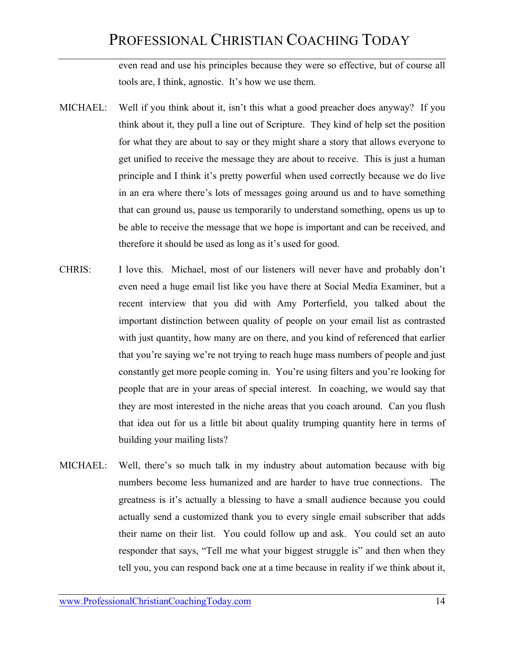even read and use his principles because they were so effective, but of course all tools are, I think, agnostic. It's how we use them.

- MICHAEL: Well if you think about it, isn't this what a good preacher does anyway? If you think about it, they pull a line out of Scripture. They kind of help set the position for what they are about to say or they might share a story that allows everyone to get unified to receive the message they are about to receive. This is just a human principle and I think it's pretty powerful when used correctly because we do live in an era where there's lots of messages going around us and to have something that can ground us, pause us temporarily to understand something, opens us up to be able to receive the message that we hope is important and can be received, and therefore it should be used as long as it's used for good.
- CHRIS: I love this. Michael, most of our listeners will never have and probably don't even need a huge email list like you have there at Social Media Examiner, but a recent interview that you did with Amy Porterfield, you talked about the important distinction between quality of people on your email list as contrasted with just quantity, how many are on there, and you kind of referenced that earlier that you're saying we're not trying to reach huge mass numbers of people and just constantly get more people coming in. You're using filters and you're looking for people that are in your areas of special interest. In coaching, we would say that they are most interested in the niche areas that you coach around. Can you flush that idea out for us a little bit about quality trumping quantity here in terms of building your mailing lists?
- MICHAEL: Well, there's so much talk in my industry about automation because with big numbers become less humanized and are harder to have true connections. The greatness is it's actually a blessing to have a small audience because you could actually send a customized thank you to every single email subscriber that adds their name on their list. You could follow up and ask. You could set an auto responder that says, "Tell me what your biggest struggle is" and then when they tell you, you can respond back one at a time because in reality if we think about it,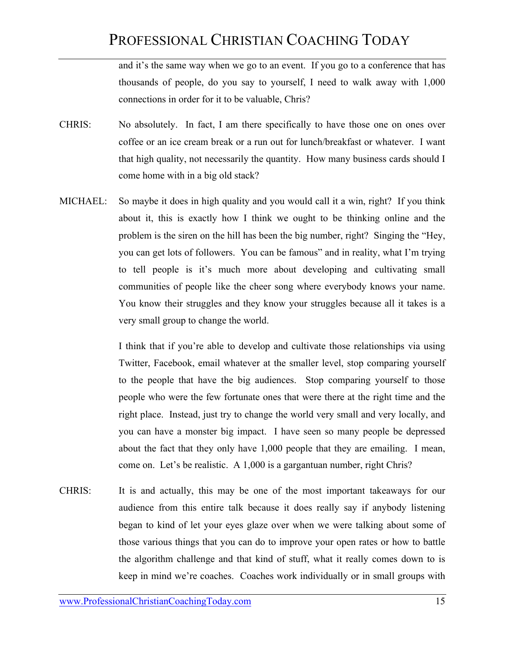and it's the same way when we go to an event. If you go to a conference that has thousands of people, do you say to yourself, I need to walk away with 1,000 connections in order for it to be valuable, Chris?

- CHRIS: No absolutely. In fact, I am there specifically to have those one on ones over coffee or an ice cream break or a run out for lunch/breakfast or whatever. I want that high quality, not necessarily the quantity. How many business cards should I come home with in a big old stack?
- MICHAEL: So maybe it does in high quality and you would call it a win, right? If you think about it, this is exactly how I think we ought to be thinking online and the problem is the siren on the hill has been the big number, right? Singing the "Hey, you can get lots of followers. You can be famous" and in reality, what I'm trying to tell people is it's much more about developing and cultivating small communities of people like the cheer song where everybody knows your name. You know their struggles and they know your struggles because all it takes is a very small group to change the world.

I think that if you're able to develop and cultivate those relationships via using Twitter, Facebook, email whatever at the smaller level, stop comparing yourself to the people that have the big audiences. Stop comparing yourself to those people who were the few fortunate ones that were there at the right time and the right place. Instead, just try to change the world very small and very locally, and you can have a monster big impact. I have seen so many people be depressed about the fact that they only have 1,000 people that they are emailing. I mean, come on. Let's be realistic. A 1,000 is a gargantuan number, right Chris?

CHRIS: It is and actually, this may be one of the most important takeaways for our audience from this entire talk because it does really say if anybody listening began to kind of let your eyes glaze over when we were talking about some of those various things that you can do to improve your open rates or how to battle the algorithm challenge and that kind of stuff, what it really comes down to is keep in mind we're coaches. Coaches work individually or in small groups with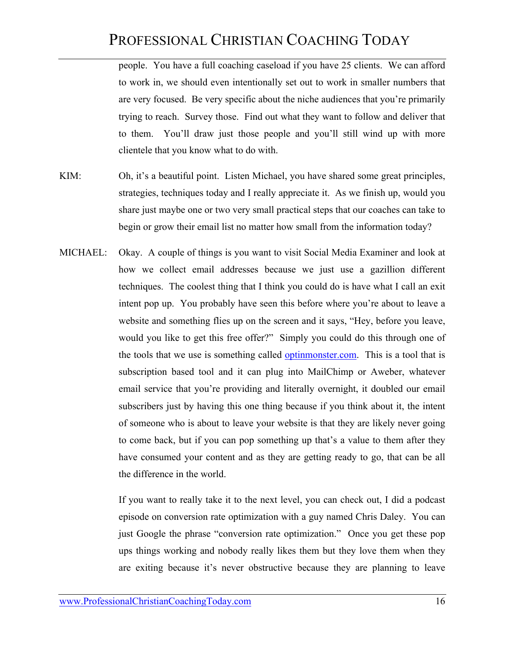people. You have a full coaching caseload if you have 25 clients. We can afford to work in, we should even intentionally set out to work in smaller numbers that are very focused. Be very specific about the niche audiences that you're primarily trying to reach. Survey those. Find out what they want to follow and deliver that to them. You'll draw just those people and you'll still wind up with more clientele that you know what to do with.

- KIM: Oh, it's a beautiful point. Listen Michael, you have shared some great principles, strategies, techniques today and I really appreciate it. As we finish up, would you share just maybe one or two very small practical steps that our coaches can take to begin or grow their email list no matter how small from the information today?
- MICHAEL: Okay. A couple of things is you want to visit Social Media Examiner and look at how we collect email addresses because we just use a gazillion different techniques. The coolest thing that I think you could do is have what I call an exit intent pop up. You probably have seen this before where you're about to leave a website and something flies up on the screen and it says, "Hey, before you leave, would you like to get this free offer?" Simply you could do this through one of the tools that we use is something called optinmonster.com. This is a tool that is subscription based tool and it can plug into MailChimp or Aweber, whatever email service that you're providing and literally overnight, it doubled our email subscribers just by having this one thing because if you think about it, the intent of someone who is about to leave your website is that they are likely never going to come back, but if you can pop something up that's a value to them after they have consumed your content and as they are getting ready to go, that can be all the difference in the world.

If you want to really take it to the next level, you can check out, I did a podcast episode on conversion rate optimization with a guy named Chris Daley. You can just Google the phrase "conversion rate optimization." Once you get these pop ups things working and nobody really likes them but they love them when they are exiting because it's never obstructive because they are planning to leave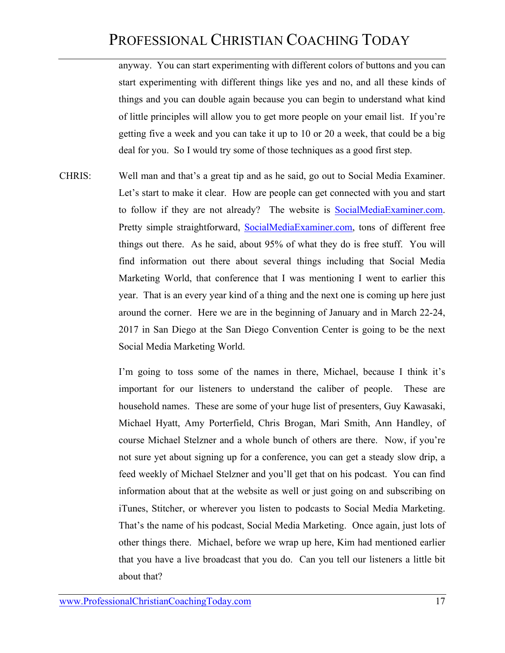anyway. You can start experimenting with different colors of buttons and you can start experimenting with different things like yes and no, and all these kinds of things and you can double again because you can begin to understand what kind of little principles will allow you to get more people on your email list. If you're getting five a week and you can take it up to 10 or 20 a week, that could be a big deal for you. So I would try some of those techniques as a good first step.

CHRIS: Well man and that's a great tip and as he said, go out to Social Media Examiner. Let's start to make it clear. How are people can get connected with you and start to follow if they are not already? The website is SocialMediaExaminer.com. Pretty simple straightforward, SocialMediaExaminer.com, tons of different free things out there. As he said, about 95% of what they do is free stuff. You will find information out there about several things including that Social Media Marketing World, that conference that I was mentioning I went to earlier this year. That is an every year kind of a thing and the next one is coming up here just around the corner. Here we are in the beginning of January and in March 22-24, 2017 in San Diego at the San Diego Convention Center is going to be the next Social Media Marketing World.

> I'm going to toss some of the names in there, Michael, because I think it's important for our listeners to understand the caliber of people. These are household names. These are some of your huge list of presenters, Guy Kawasaki, Michael Hyatt, Amy Porterfield, Chris Brogan, Mari Smith, Ann Handley, of course Michael Stelzner and a whole bunch of others are there. Now, if you're not sure yet about signing up for a conference, you can get a steady slow drip, a feed weekly of Michael Stelzner and you'll get that on his podcast. You can find information about that at the website as well or just going on and subscribing on iTunes, Stitcher, or wherever you listen to podcasts to Social Media Marketing. That's the name of his podcast, Social Media Marketing. Once again, just lots of other things there. Michael, before we wrap up here, Kim had mentioned earlier that you have a live broadcast that you do. Can you tell our listeners a little bit about that?